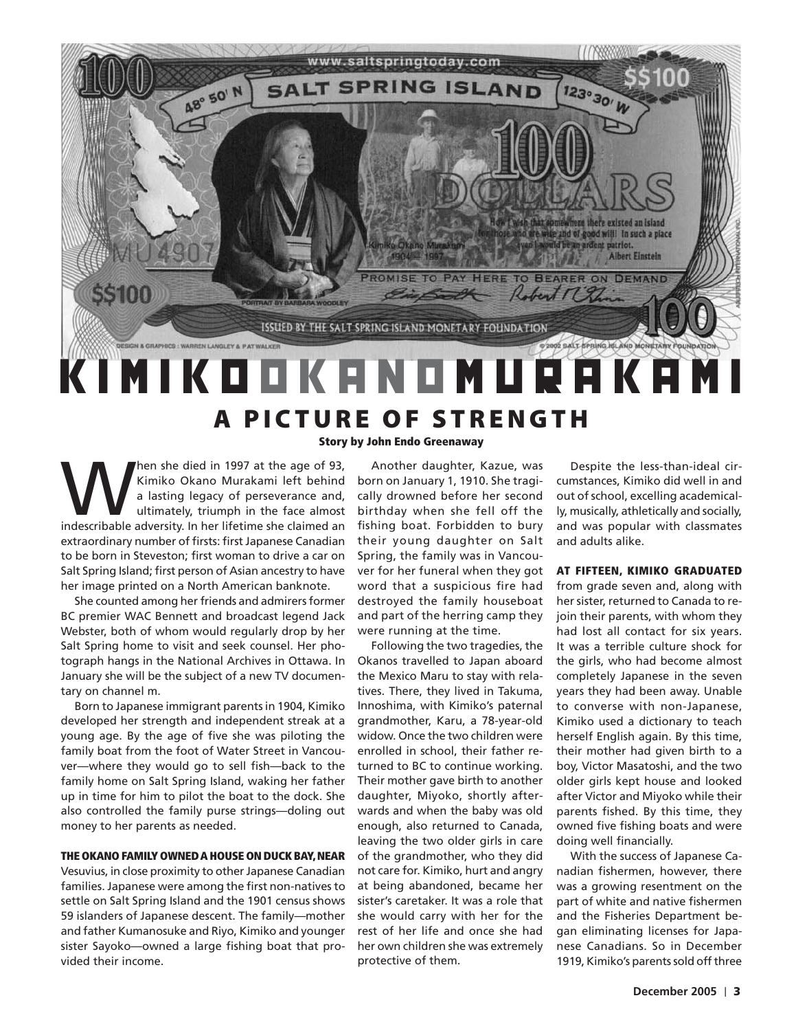

# **A PICTURE OF STRENGTH**

Story by John Endo Greenaway

**Manufacture Sheriford Standard Standard Standard Standard Standard Standard Standard Standard Standard Standard Standard Standard Standard Standard Standard Standard Standard Standard Standard Standard Standard Standard S** Kimiko Okano Murakami left behind a lasting legacy of perseverance and, ultimately, triumph in the face almost extraordinary number of firsts: first Japanese Canadian to be born in Steveston; first woman to drive a car on Salt Spring Island; first person of Asian ancestry to have her image printed on a North American banknote.

She counted among her friends and admirers former BC premier WAC Bennett and broadcast legend Jack Webster, both of whom would regularly drop by her Salt Spring home to visit and seek counsel. Her photograph hangs in the National Archives in Ottawa. In January she will be the subject of a new TV documentary on channel m.

Born to Japanese immigrant parents in 1904, Kimiko developed her strength and independent streak at a young age. By the age of five she was piloting the family boat from the foot of Water Street in Vancouver—where they would go to sell fish—back to the family home on Salt Spring Island, waking her father up in time for him to pilot the boat to the dock. She also controlled the family purse strings—doling out money to her parents as needed.

### THE OKANO FAMILY OWNED A HOUSE ON DUCK BAY, NEAR

Vesuvius, in close proximity to other Japanese Canadian families. Japanese were among the first non-natives to settle on Salt Spring Island and the 1901 census shows 59 islanders of Japanese descent. The family—mother and father Kumanosuke and Riyo, Kimiko and younger sister Sayoko—owned a large fishing boat that provided their income.

Another daughter, Kazue, was born on January 1, 1910. She tragically drowned before her second birthday when she fell off the fishing boat. Forbidden to bury their young daughter on Salt Spring, the family was in Vancouver for her funeral when they got word that a suspicious fire had destroyed the family houseboat and part of the herring camp they were running at the time.

Following the two tragedies, the Okanos travelled to Japan aboard the Mexico Maru to stay with relatives. There, they lived in Takuma, Innoshima, with Kimiko's paternal grandmother, Karu, a 78-year-old widow. Once the two children were enrolled in school, their father returned to BC to continue working. Their mother gave birth to another daughter, Miyoko, shortly afterwards and when the baby was old enough, also returned to Canada, leaving the two older girls in care of the grandmother, who they did not care for. Kimiko, hurt and angry at being abandoned, became her sister's caretaker. It was a role that she would carry with her for the rest of her life and once she had her own children she was extremely protective of them.

Despite the less-than-ideal circumstances, Kimiko did well in and out of school, excelling academically, musically, athletically and socially, and was popular with classmates and adults alike.

#### AT FIFTEEN, KIMIKO GRADUATED

from grade seven and, along with her sister, returned to Canada to rejoin their parents, with whom they had lost all contact for six years. It was a terrible culture shock for the girls, who had become almost completely Japanese in the seven years they had been away. Unable to converse with non-Japanese, Kimiko used a dictionary to teach herself English again. By this time, their mother had given birth to a boy, Victor Masatoshi, and the two older girls kept house and looked after Victor and Miyoko while their parents fished. By this time, they owned five fishing boats and were doing well financially.

With the success of Japanese Canadian fishermen, however, there was a growing resentment on the part of white and native fishermen and the Fisheries Department began eliminating licenses for Japanese Canadians. So in December 1919, Kimiko's parents sold off three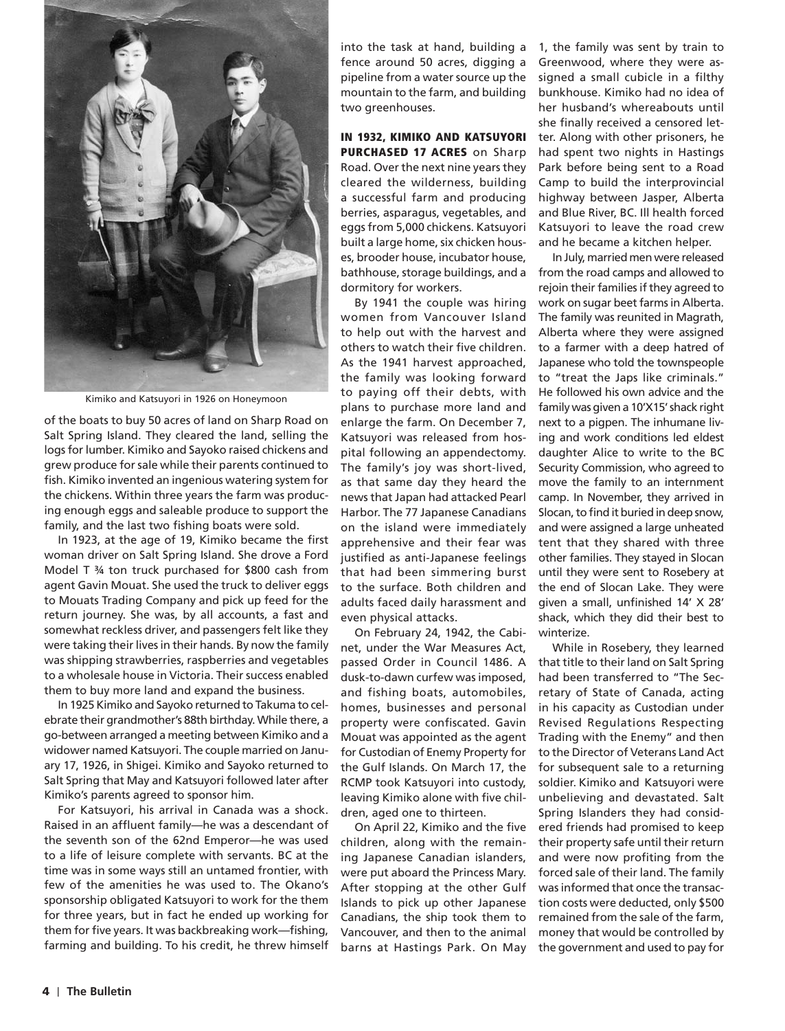

Kimiko and Katsuyori in 1926 on Honeymoon

of the boats to buy 50 acres of land on Sharp Road on Salt Spring Island. They cleared the land, selling the logs for lumber. Kimiko and Sayoko raised chickens and grew produce for sale while their parents continued to fish. Kimiko invented an ingenious watering system for the chickens. Within three years the farm was producing enough eggs and saleable produce to support the family, and the last two fishing boats were sold.

In 1923, at the age of 19, Kimiko became the first woman driver on Salt Spring Island. She drove a Ford Model T ¾ ton truck purchased for \$800 cash from agent Gavin Mouat. She used the truck to deliver eggs to Mouats Trading Company and pick up feed for the return journey. She was, by all accounts, a fast and somewhat reckless driver, and passengers felt like they were taking their lives in their hands. By now the family was shipping strawberries, raspberries and vegetables to a wholesale house in Victoria. Their success enabled them to buy more land and expand the business.

In 1925 Kimiko and Sayoko returned to Takuma to celebrate their grandmother's 88th birthday. While there, a go-between arranged a meeting between Kimiko and a widower named Katsuyori. The couple married on January 17, 1926, in Shigei. Kimiko and Sayoko returned to Salt Spring that May and Katsuyori followed later after Kimiko's parents agreed to sponsor him.

For Katsuyori, his arrival in Canada was a shock. Raised in an affluent family—he was a descendant of the seventh son of the 62nd Emperor—he was used to a life of leisure complete with servants. BC at the time was in some ways still an untamed frontier, with few of the amenities he was used to. The Okano's sponsorship obligated Katsuyori to work for the them for three years, but in fact he ended up working for them for five years. It was backbreaking work—fishing, farming and building. To his credit, he threw himself fence around 50 acres, digging a pipeline from a water source up the mountain to the farm, and building two greenhouses.

## IN 1932, KIMIKO AND KATSUYORI PURCHASED 17 ACRES on Sharp

Road. Over the next nine years they cleared the wilderness, building a successful farm and producing berries, asparagus, vegetables, and eggs from 5,000 chickens. Katsuyori built a large home, six chicken houses, brooder house, incubator house, bathhouse, storage buildings, and a dormitory for workers.

By 1941 the couple was hiring women from Vancouver Island to help out with the harvest and others to watch their five children. As the 1941 harvest approached, the family was looking forward to paying off their debts, with plans to purchase more land and enlarge the farm. On December 7, Katsuyori was released from hospital following an appendectomy. The family's joy was short-lived, as that same day they heard the news that Japan had attacked Pearl Harbor. The 77 Japanese Canadians on the island were immediately apprehensive and their fear was justified as anti-Japanese feelings that had been simmering burst to the surface. Both children and adults faced daily harassment and even physical attacks.

On February 24, 1942, the Cabinet, under the War Measures Act, passed Order in Council 1486. A dusk-to-dawn curfew was imposed, and fishing boats, automobiles, homes, businesses and personal property were confiscated. Gavin Mouat was appointed as the agent for Custodian of Enemy Property for the Gulf Islands. On March 17, the RCMP took Katsuyori into custody, leaving Kimiko alone with five children, aged one to thirteen.

On April 22, Kimiko and the five children, along with the remaining Japanese Canadian islanders, were put aboard the Princess Mary. After stopping at the other Gulf Islands to pick up other Japanese Canadians, the ship took them to Vancouver, and then to the animal barns at Hastings Park. On May

into the task at hand, building a 1, the family was sent by train to Greenwood, where they were assigned a small cubicle in a filthy bunkhouse. Kimiko had no idea of her husband's whereabouts until she finally received a censored letter. Along with other prisoners, he had spent two nights in Hastings Park before being sent to a Road Camp to build the interprovincial highway between Jasper, Alberta and Blue River, BC. Ill health forced Katsuyori to leave the road crew and he became a kitchen helper.

> In July, married men were released from the road camps and allowed to rejoin their families if they agreed to work on sugar beet farms in Alberta. The family was reunited in Magrath, Alberta where they were assigned to a farmer with a deep hatred of Japanese who told the townspeople to "treat the Japs like criminals." He followed his own advice and the family was given a 10'X15' shack right next to a pigpen. The inhumane living and work conditions led eldest daughter Alice to write to the BC Security Commission, who agreed to move the family to an internment camp. In November, they arrived in Slocan, to find it buried in deep snow, and were assigned a large unheated tent that they shared with three other families. They stayed in Slocan until they were sent to Rosebery at the end of Slocan Lake. They were given a small, unfinished 14' X 28' shack, which they did their best to winterize.

> While in Rosebery, they learned that title to their land on Salt Spring had been transferred to "The Secretary of State of Canada, acting in his capacity as Custodian under Revised Regulations Respecting Trading with the Enemy" and then to the Director of Veterans Land Act for subsequent sale to a returning soldier. Kimiko and Katsuyori were unbelieving and devastated. Salt Spring Islanders they had considered friends had promised to keep their property safe until their return and were now profiting from the forced sale of their land. The family was informed that once the transaction costs were deducted, only \$500 remained from the sale of the farm, money that would be controlled by the government and used to pay for